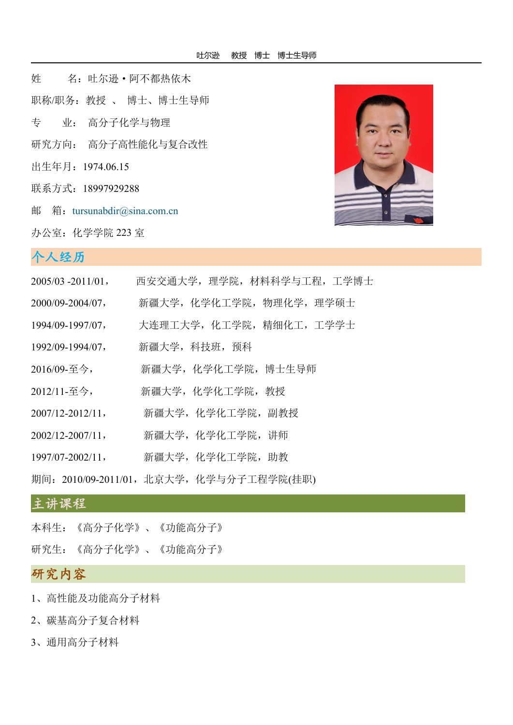姓 名:吐尔逊·阿不都热依木 职称/职务:教授 、 博士、博士生导师 专 业: 高分子化学与物理 研究方向: 高分子高性能化与复合改性 出生年月:1974.06.15 联系方式:18997929288 邮 箱: [tursunabdir@sina.com.cn](mailto:xuelih@163.com)

办公室:化学学院 223 室



## 个人经历。。。。。。。。。。。。。。。。。。。。。。。。。。。。。

| $2005/03 - 2011/01$ , | 西安交通大学, 理学院, 材料科学与工程, 工学博士            |
|-----------------------|---------------------------------------|
| $2000/09 - 2004/07$ , | 新疆大学, 化学化工学院, 物理化学, 理学硕士              |
| 1994/09-1997/07,      | 大连理工大学,化工学院,精细化工,工学学士                 |
| 1992/09-1994/07,      | 新疆大学, 科技班, 预科                         |
| 2016/09-至今,           | 新疆大学,化学化工学院,博士生导师                     |
| 2012/11-至今,           | 新疆大学,化学化工学院,教授                        |
| $2007/12 - 2012/11$ , | 新疆大学, 化学化工学院, 副教授                     |
| $2002/12 - 2007/11$ , | 新疆大学, 化学化工学院, 讲师                      |
| $1997/07 - 2002/11$ , | 新疆大学, 化学化工学院, 助教                      |
|                       | 期间:2010/09-2011/01,北京大学,化学与分子工程学院(挂职) |
|                       |                                       |

## 主讲课程

本科生:《高分子化学》、《功能高分子》

研究生:《高分子化学》、《功能高分子》

# 研究内容

- 1、高性能及功能高分子材料
- 2、碳基高分子复合材料
- 3、通用高分子材料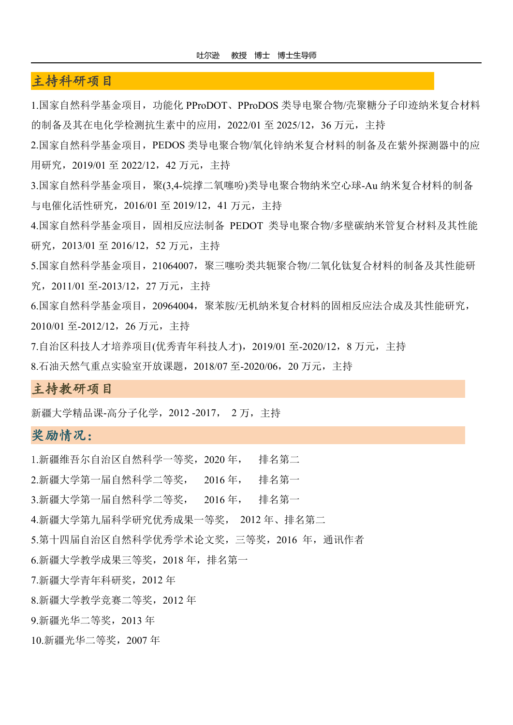## 主持科研项目

1.国家自然科学基金项目, 功能化 PProDOT、PProDOS 类导电聚合物/壳聚糖分子印迹纳米复合材料 的制备及其在电化学检测抗生素中的应用,2022/01 至 2025/12,36 万元,主持

2.国家自然科学基金项目, PEDOS 类导电聚合物/氧化锌纳米复合材料的制备及在紫外探测器中的应 用研究,2019/01 至 2022/12,42 万元,主持

3.国家自然科学基金项目,聚(3,4-烷撑二氧噻吩)类导电聚合物纳米空心球-Au 纳米复合材料的制备 与电催化活性研究,2016/01 至 2019/12,41 万元,主持

4.国家自然科学基金项目,固相反应法制备 PEDOT 类导电聚合物/多壁碳纳米管复合材料及其性能 研究, 2013/01 至 2016/12, 52 万元, 主持

5.国家自然科学基金项目, 21064007, 聚三噻吩类共轭聚合物/二氧化钛复合材料的制备及其性能研 究,2011/01 至-2013/12,27 万元,主持

6.国家自然科学基金项目,20964004,聚苯胺/无机纳米复合材料的固相反应法合成及其性能研究, 2010/01 至-2012/12,26 万元,主持

7.自治区科技人才培养项目(优秀青年科技人才),2019/01 至-2020/12,8 万元,主持

8.石油天然气重点实验室开放课题,2018/07 至-2020/06,20 万元,主持

#### 主持教研项目

新疆大学精品课-高分子化学,2012 -2017, 2 万,主持

#### 奖励情况:

1.新疆维吾尔自治区自然科学一等奖,2020 年, 排名第二

2.新疆大学第一届自然科学二等奖, 2016 年, 排名第一

3.新疆大学第一届自然科学二等奖, 2016 年, 排名第一

4.新疆大学第九届科学研究优秀成果一等奖, 2012 年、排名第二

5.第十四届自治区自然科学优秀学术论文奖,三等奖, 2016 年, 通讯作者

6.新疆大学教学成果三等奖,2018 年,排名第一

7.新疆大学青年科研奖,2012 年

8.新疆大学教学竞赛二等奖,2012 年

9.新疆光华二等奖,2013 年

10.新疆光华二等奖,2007 年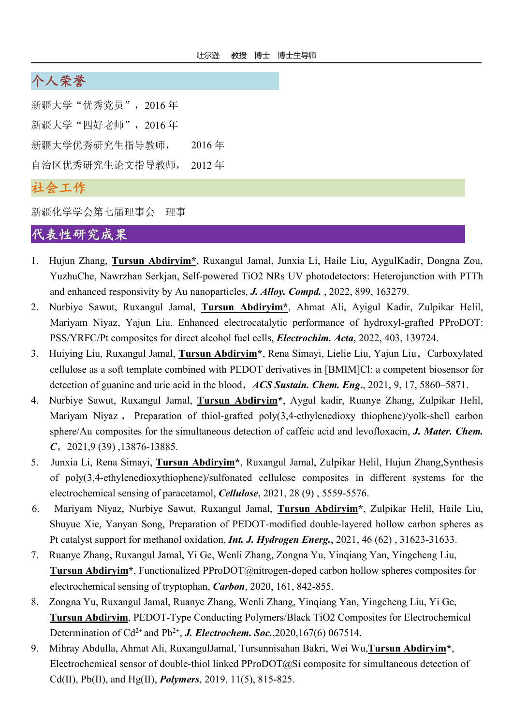# 个人荣誉

新疆大学"优秀党员", 2016年 新疆大学"四好老师",2016年 新疆大学优秀研究生指导教师, 2016 年 自治区优秀研究生论文指导教师, 2012 年

# 社会工作

新疆化学学会第七届理事会 理事

# 代表性研究成果

- 1. Hujun Zhang, **Tursun Abdiryim\***, Ruxangul Jamal, Junxia Li, Haile Liu, AygulKadir, Dongna Zou, YuzhuChe, Nawrzhan Serkjan, Self-powered TiO2 NRs UV photodetectors: Heterojunction with PTTh and enhanced responsivity by Au nanoparticles, *J. Alloy. Compd.* , 2022, 899, 163279.
- 2. Nurbiye Sawut, Ruxangul Jamal, **Tursun Abdiryim\***, Ahmat Ali, Ayigul Kadir, Zulpikar Helil, Mariyam Niyaz, Yajun Liu, Enhanced electrocatalytic performance of hydroxyl-grafted PProDOT: PSS/YRFC/Pt composites for direct alcohol fuel cells, *Electrochim. Acta*, 2022, 403, 139724.
- 3. Huiying Liu, Ruxangul Jamal, **Tursun Abdiryim\***, Rena Simayi, Lielie Liu, Yajun Liu,Carboxylated cellulose as a soft template combined with PEDOT derivatives in [BMIM]Cl: a competent biosensor for detection of guanine and uric acid in the blood,*ACS Sustain. Chem. Eng***.**, 2021, 9, 17, 5860–5871.
- 4. Nurbiye Sawut, Ruxangul Jamal, **Tursun Abdiryim\***, Aygul kadir, Ruanye Zhang, Zulpikar Helil, Mariyam Niyaz , Preparation of thiol-grafted poly(3,4-ethylenedioxy thiophene)/yolk-shell carbon sphere/Au composites for the simultaneous detection of caffeic acid and levofloxacin, *J. Mater. Chem. C*,2021,9 (39) ,13876-13885.
- 5. Junxia Li, Rena Simayi, **Tursun Abdiryim\***, Ruxangul Jamal, Zulpikar Helil, Hujun Zhang,Synthesis of poly(3,4-ethylenedioxythiophene)/sulfonated cellulose composites in different systems for the electrochemical sensing of paracetamol, *Cellulose*, 2021, 28 (9) , 5559-5576.
- 6. Mariyam Niyaz, Nurbiye Sawut, Ruxangul Jamal, **Tursun Abdiryim\***, Zulpikar Helil, Haile Liu, Shuyue Xie, Yanyan Song, Preparation of PEDOT-modified double-layered hollow carbon spheres as Pt catalyst support for methanol oxidation, *Int. J. Hydrogen Energ.*, 2021,46 (62) , 31623-31633.
- 7. Ruanye Zhang, Ruxangul Jamal, Yi Ge, Wenli Zhang, Zongna Yu, Yinqiang Yan, Yingcheng Liu, **Tursun Abdiryim\***, Functionalized PProDOT@nitrogen-doped carbon hollow spheres composites for electrochemical sensing of tryptophan, *Carbon*, 2020, 161, 842-855.
- 8. Zongna Yu, Ruxangul Jamal, Ruanye Zhang, Wenli Zhang, Yinqiang Yan, Yingcheng Liu, Yi Ge, **Tursun Abdiryim**, PEDOT-Type Conducting Polymers/Black TiO2 Composites for Electrochemical Determination of Cd<sup>2+</sup> and Pb<sup>2+</sup>, *J. Electrochem. Soc.*,2020,167(6) 067514.
- 9. Mihray Abdulla, Ahmat Ali, RuxangulJamal, Tursunnisahan Bakri, Wei Wu,**Tursun Abdiryim\***, Electrochemical sensor of double-thiol linked PProDOT@Si composite for simultaneous detection of Cd(II), Pb(II), and Hg(II), *Polymers*, 2019, 11(5), 815-825.